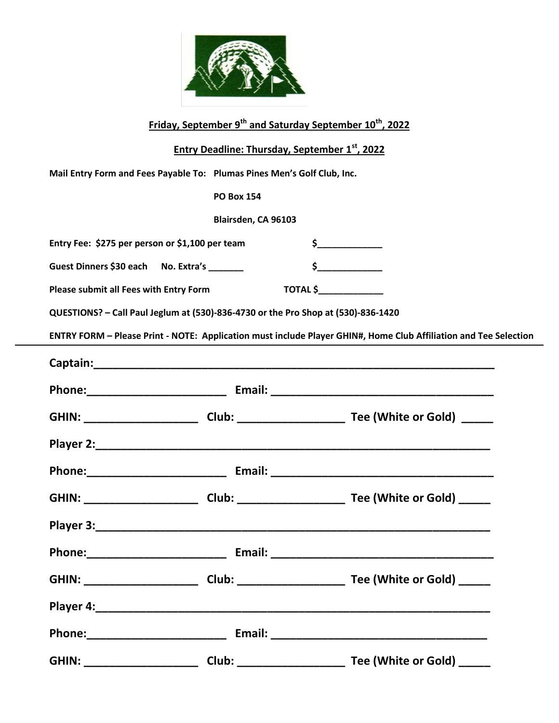

|                                                                                   | Friday, September 9 <sup>th</sup> and Saturday September 10 <sup>th</sup> , 2022 |                                                                                                                  |
|-----------------------------------------------------------------------------------|----------------------------------------------------------------------------------|------------------------------------------------------------------------------------------------------------------|
|                                                                                   | <b>Entry Deadline: Thursday, September 1st, 2022</b>                             |                                                                                                                  |
| Mail Entry Form and Fees Payable To: Plumas Pines Men's Golf Club, Inc.           |                                                                                  |                                                                                                                  |
|                                                                                   | <b>PO Box 154</b>                                                                |                                                                                                                  |
| Blairsden, CA 96103                                                               |                                                                                  |                                                                                                                  |
| Entry Fee: \$275 per person or \$1,100 per team                                   |                                                                                  | $\frac{1}{2}$                                                                                                    |
| Guest Dinners \$30 each No. Extra's ______                                        |                                                                                  | $\frac{1}{2}$                                                                                                    |
| Please submit all Fees with Entry Form                                            | <b>TOTAL \$_______________</b>                                                   |                                                                                                                  |
| QUESTIONS? - Call Paul Jeglum at (530)-836-4730 or the Pro Shop at (530)-836-1420 |                                                                                  |                                                                                                                  |
|                                                                                   |                                                                                  | ENTRY FORM - Please Print - NOTE: Application must include Player GHIN#, Home Club Affiliation and Tee Selection |
|                                                                                   |                                                                                  |                                                                                                                  |
|                                                                                   |                                                                                  |                                                                                                                  |
|                                                                                   |                                                                                  |                                                                                                                  |
|                                                                                   |                                                                                  |                                                                                                                  |
|                                                                                   |                                                                                  |                                                                                                                  |
|                                                                                   |                                                                                  |                                                                                                                  |
| Player 3:                                                                         |                                                                                  |                                                                                                                  |
|                                                                                   |                                                                                  |                                                                                                                  |
|                                                                                   |                                                                                  |                                                                                                                  |
|                                                                                   |                                                                                  |                                                                                                                  |
|                                                                                   |                                                                                  |                                                                                                                  |
|                                                                                   |                                                                                  |                                                                                                                  |